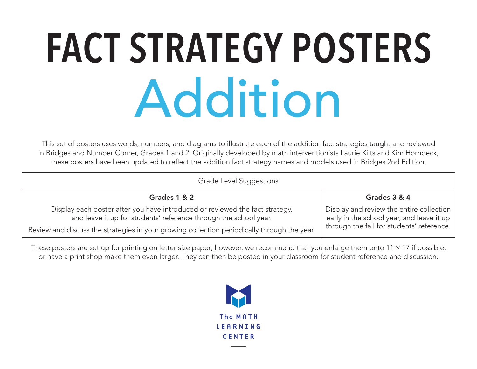#### **FACT STRATEGY POSTERS** Addition

This set of posters uses words, numbers, and diagrams to illustrate each of the addition fact strategies taught and reviewed in Bridges and Number Corner, Grades 1 and 2. Originally developed by math interventionists Laurie Kilts and Kim Hornbeck, these posters have been updated to reflect the addition fact strategy names and models used in Bridges 2nd Edition.

| Grade Level Suggestions                                                                                                                          |                                                                                       |
|--------------------------------------------------------------------------------------------------------------------------------------------------|---------------------------------------------------------------------------------------|
| Grades 1 & 2                                                                                                                                     | Grades 3 & 4                                                                          |
| Display each poster after you have introduced or reviewed the fact strategy,<br>and leave it up for students' reference through the school year. | Display and review the entire collection<br>early in the school year, and leave it up |
| Review and discuss the strategies in your growing collection periodically through the year.                                                      | through the fall for students' reference.                                             |
| These posters are set up for printing on letter size paper; however, we recommend that you enlarge them onto 11 $\times$ 17 if possible.         |                                                                                       |

These posters are set up for printing on letter size paper; however, we recommend that you enlarge them onto 11  $\times$  17 if possible, or have a print shop make them even larger. They can then be posted in your classroom for student reference and discussion.

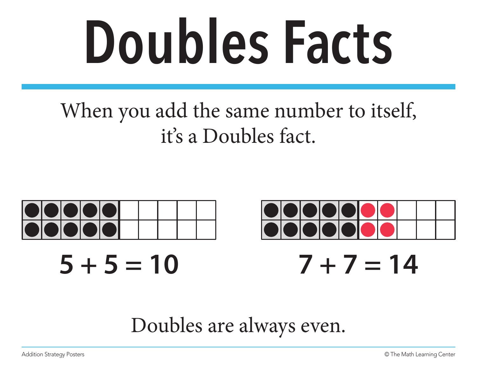### **Doubles Facts**

#### When you add the same number to itself, it's a Doubles fact.



#### Doubles are always even.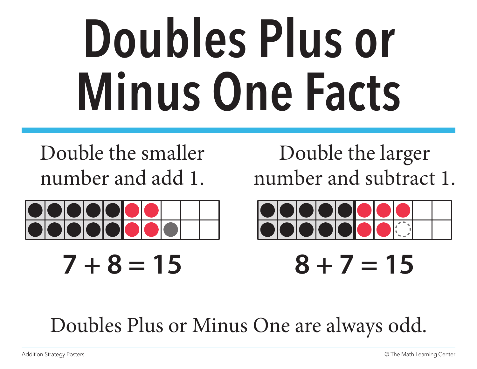#### **Doubles Plus or Minus One Facts**

Double the smaller number and add 1.



Double the larger number and subtract 1.



 $7 + 8 = 15$   $8 + 7 = 15$ 

Doubles Plus or Minus One are always odd.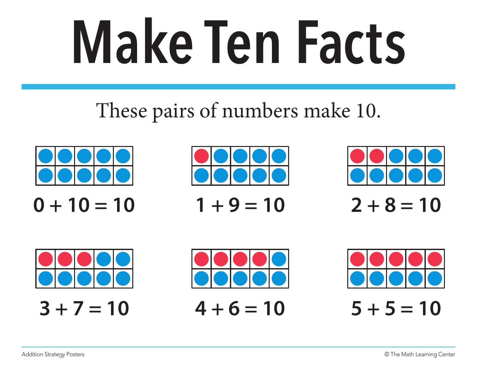# **Make Ten Facts**

#### These pairs of numbers make 10.













 $3 + 7 = 10$   $4 + 6 = 10$   $5 + 5 = 10$ 

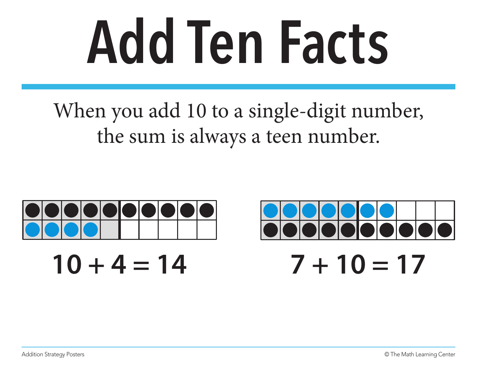### **Add Ten Facts**

When you add 10 to a single-digit number, the sum is always a teen number.

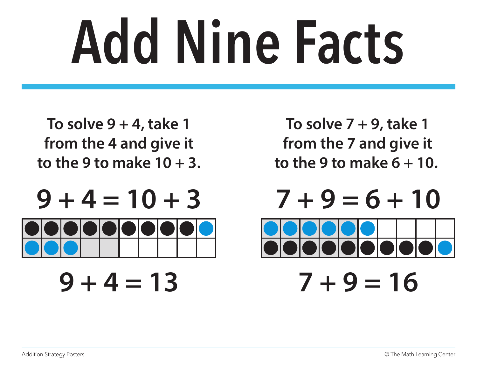### **Add Nine Facts**

**To solve 9 + 4, take 1 from the 4 and give it to the 9 to make 10 + 3.**

 $9 + 4 = 10 + 3$   $7 + 9 = 6 + 10$ 

**To solve 7 + 9, take 1 from the 7 and give it to the 9 to make 6 + 10.** 



 $9 + 4 = 13$   $7 + 9 = 16$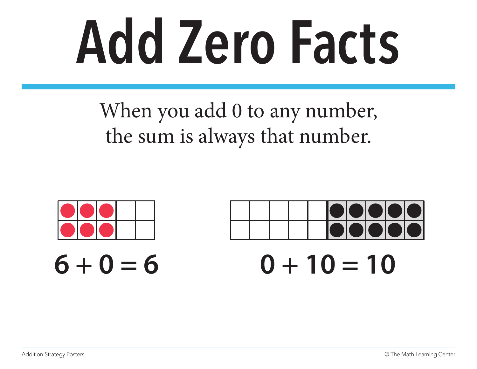### **Add Zero Facts**

When you add 0 to any number, the sum is always that number.

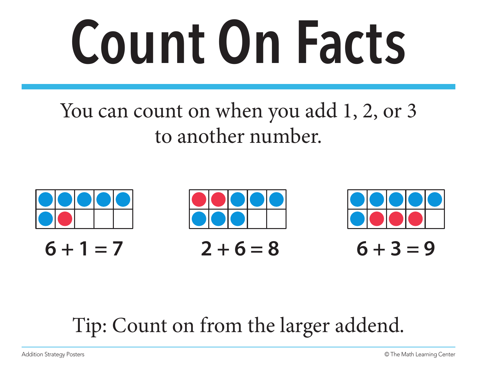### **Count On Facts**

#### You can count on when you add 1, 2, or 3 to another number.



#### Tip: Count on from the larger addend.